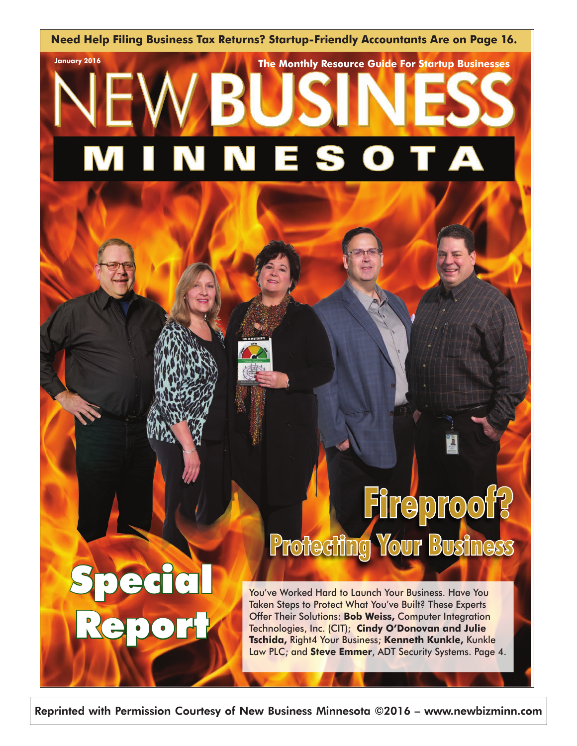**Need Help Filing Business Tax Returns? Startup-Friendly Accountants Are on Page 16.**

**January 2016 The Monthly Resource Guide For Startup Businesses** 

#### E A N S N



Special

Report

# **Fireproof? Protecting Your Business**

You've Worked Hard to Launch Your Business. Have You Taken Steps to Protect What You've Built? These Experts Offer Their Solutions: **Bob Weiss,** Computer Integration Technologies, Inc. (CIT); **Cindy O'Donovan and Julie Tschida,** Right4 Your Business; **Kenneth Kunkle,** Kunkle Law PLC; and **Steve Emmer**, ADT Security Systems. Page 4.

Reprinted with Permission Courtesy of New Business Minnesota ©2016 – www.newbizminn.com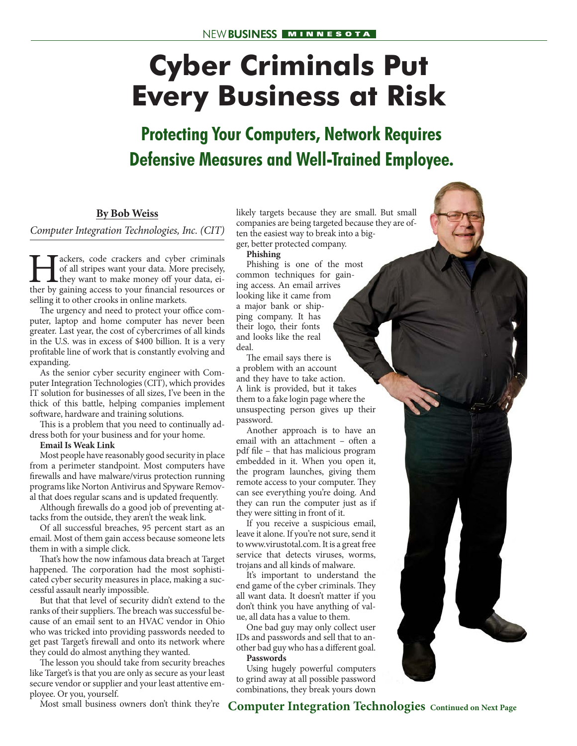## **Cyber Criminals Put Every Business at Risk**

### **Protecting Your Computers, Network Requires Defensive Measures and Well-Trained Employee.**

#### **By Bob Weiss**

*Computer Integration Technologies, Inc. (CIT)*

**Hackers, code crackers and cyber criminals** of all stripes want your data. More precisely, they want to make money off your data, either by gaining access to your financial resources or of all stripes want your data. More precisely, they want to make money off your data, either by gaining access to your financial resources or selling it to other crooks in online markets.

The urgency and need to protect your office computer, laptop and home computer has never been greater. Last year, the cost of cybercrimes of all kinds in the U.S. was in excess of \$400 billion. It is a very profitable line of work that is constantly evolving and expanding.

As the senior cyber security engineer with Computer Integration Technologies (CIT), which provides IT solution for businesses of all sizes, I've been in the thick of this battle, helping companies implement software, hardware and training solutions.

This is a problem that you need to continually address both for your business and for your home.

**Email Is Weak Link**

Most people have reasonably good security in place from a perimeter standpoint. Most computers have firewalls and have malware/virus protection running programs like Norton Antivirus and Spyware Removal that does regular scans and is updated frequently.

Although firewalls do a good job of preventing attacks from the outside, they aren't the weak link.

Of all successful breaches, 95 percent start as an email. Most of them gain access because someone lets them in with a simple click.

That's how the now infamous data breach at Target happened. The corporation had the most sophisticated cyber security measures in place, making a successful assault nearly impossible.

But that that level of security didn't extend to the ranks of their suppliers. The breach was successful because of an email sent to an HVAC vendor in Ohio who was tricked into providing passwords needed to get past Target's firewall and onto its network where they could do almost anything they wanted.

The lesson you should take from security breaches like Target's is that you are only as secure as your least secure vendor or supplier and your least attentive employee. Or you, yourself.

Most small business owners don't think they're

likely targets because they are small. But small companies are being targeted because they are often the easiest way to break into a bigger, better protected company.

**Phishing**

Phishing is one of the most common techniques for gaining access. An email arrives looking like it came from a major bank or shipping company. It has their logo, their fonts and looks like the real deal.

The email says there is a problem with an account and they have to take action. A link is provided, but it takes them to a fake login page where the unsuspecting person gives up their password.

Another approach is to have an email with an attachment – often a pdf file – that has malicious program embedded in it. When you open it, the program launches, giving them remote access to your computer. They can see everything you're doing. And they can run the computer just as if they were sitting in front of it.

If you receive a suspicious email, leave it alone. If you're not sure, send it to www.virustotal.com. It is a great free service that detects viruses, worms, trojans and all kinds of malware.

It's important to understand the end game of the cyber criminals. They all want data. It doesn't matter if you don't think you have anything of value, all data has a value to them.

One bad guy may only collect user IDs and passwords and sell that to another bad guy who has a different goal. **Passwords**

Using hugely powerful computers to grind away at all possible password combinations, they break yours down